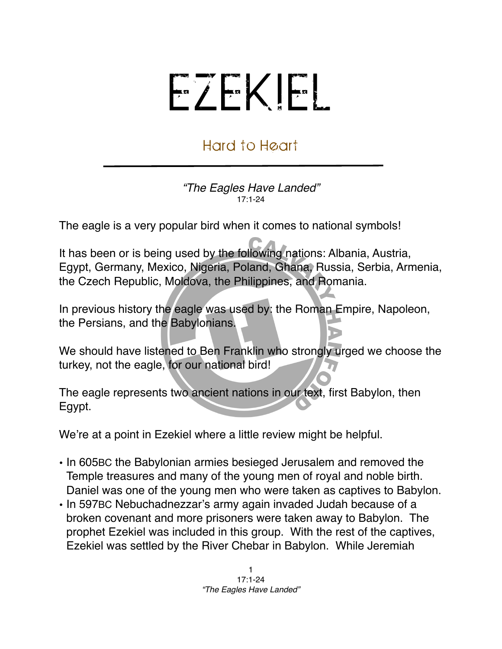## EZEKIEL

## Hard to Heart

*"The Eagles Have Landed"* 17:1-24

The eagle is a very popular bird when it comes to national symbols!

It has been or is being used by the following nations: Albania, Austria, Egypt, Germany, Mexico, Nigeria, Poland, Ghana, Russia, Serbia, Armenia, the Czech Republic, Moldova, the Philippines, and Romania.

In previous history the eagle was used by: the Roman Empire, Napoleon, the Persians, and the Babylonians.

We should have listened to Ben Franklin who strongly urged we choose the turkey, not the eagle, for our national bird!

The eagle represents two ancient nations in our text, first Babylon, then Egypt.

We're at a point in Ezekiel where a little review might be helpful.

- In 605BC the Babylonian armies besieged Jerusalem and removed the Temple treasures and many of the young men of royal and noble birth. Daniel was one of the young men who were taken as captives to Babylon.
- In 597BC Nebuchadnezzar's army again invaded Judah because of a broken covenant and more prisoners were taken away to Babylon. The prophet Ezekiel was included in this group. With the rest of the captives, Ezekiel was settled by the River Chebar in Babylon. While Jeremiah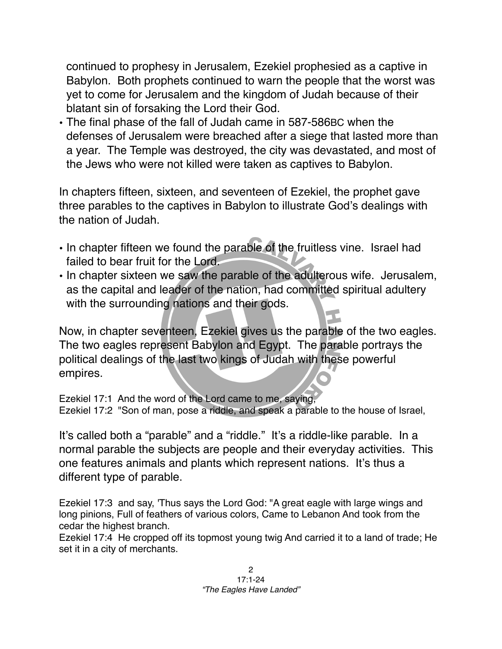continued to prophesy in Jerusalem, Ezekiel prophesied as a captive in Babylon. Both prophets continued to warn the people that the worst was yet to come for Jerusalem and the kingdom of Judah because of their blatant sin of forsaking the Lord their God.

• The final phase of the fall of Judah came in 587-586BC when the defenses of Jerusalem were breached after a siege that lasted more than a year. The Temple was destroyed, the city was devastated, and most of the Jews who were not killed were taken as captives to Babylon.

In chapters fifteen, sixteen, and seventeen of Ezekiel, the prophet gave three parables to the captives in Babylon to illustrate God's dealings with the nation of Judah.

- In chapter fifteen we found the parable of the fruitless vine. Israel had failed to bear fruit for the Lord.
- In chapter sixteen we saw the parable of the adulterous wife. Jerusalem, as the capital and leader of the nation, had committed spiritual adultery with the surrounding nations and their gods.

Now, in chapter seventeen, Ezekiel gives us the parable of the two eagles. The two eagles represent Babylon and Egypt. The parable portrays the political dealings of the last two kings of Judah with these powerful empires.

Ezekiel 17:1 And the word of the Lord came to me, saying, Ezekiel 17:2 "Son of man, pose a riddle, and speak a parable to the house of Israel,

It's called both a "parable" and a "riddle." It's a riddle-like parable. In a normal parable the subjects are people and their everyday activities. This one features animals and plants which represent nations. It's thus a different type of parable.

Ezekiel 17:3 and say, 'Thus says the Lord God: "A great eagle with large wings and long pinions, Full of feathers of various colors, Came to Lebanon And took from the cedar the highest branch.

Ezekiel 17:4 He cropped off its topmost young twig And carried it to a land of trade; He set it in a city of merchants.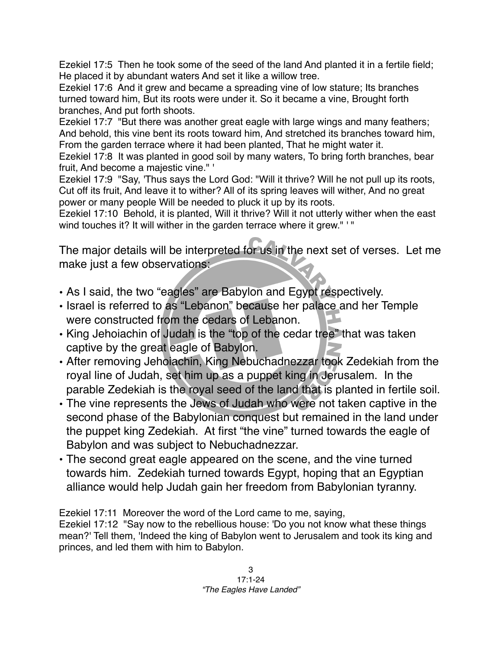Ezekiel 17:5 Then he took some of the seed of the land And planted it in a fertile field; He placed it by abundant waters And set it like a willow tree.

Ezekiel 17:6 And it grew and became a spreading vine of low stature; Its branches turned toward him, But its roots were under it. So it became a vine, Brought forth branches, And put forth shoots.

Ezekiel 17:7 "But there was another great eagle with large wings and many feathers; And behold, this vine bent its roots toward him, And stretched its branches toward him, From the garden terrace where it had been planted, That he might water it.

Ezekiel 17:8 It was planted in good soil by many waters, To bring forth branches, bear fruit, And become a majestic vine." '

Ezekiel 17:9 "Say, 'Thus says the Lord God: "Will it thrive? Will he not pull up its roots, Cut off its fruit, And leave it to wither? All of its spring leaves will wither, And no great power or many people Will be needed to pluck it up by its roots.

Ezekiel 17:10 Behold, it is planted, Will it thrive? Will it not utterly wither when the east wind touches it? It will wither in the garden terrace where it grew." '"

The major details will be interpreted for us in the next set of verses. Let me make just a few observations:

- As I said, the two "eagles" are Babylon and Egypt respectively.
- Israel is referred to as "Lebanon" because her palace and her Temple were constructed from the cedars of Lebanon.
- King Jehoiachin of Judah is the "top of the cedar tree" that was taken captive by the great eagle of Babylon.
- After removing Jehoiachin, King Nebuchadnezzar took Zedekiah from the royal line of Judah, set him up as a puppet king in Jerusalem. In the parable Zedekiah is the royal seed of the land that is planted in fertile soil.
- The vine represents the Jews of Judah who were not taken captive in the second phase of the Babylonian conquest but remained in the land under the puppet king Zedekiah. At first "the vine" turned towards the eagle of Babylon and was subject to Nebuchadnezzar.
- The second great eagle appeared on the scene, and the vine turned towards him. Zedekiah turned towards Egypt, hoping that an Egyptian alliance would help Judah gain her freedom from Babylonian tyranny.

Ezekiel 17:11 Moreover the word of the Lord came to me, saying,

Ezekiel 17:12 "Say now to the rebellious house: 'Do you not know what these things mean?' Tell them, 'Indeed the king of Babylon went to Jerusalem and took its king and princes, and led them with him to Babylon.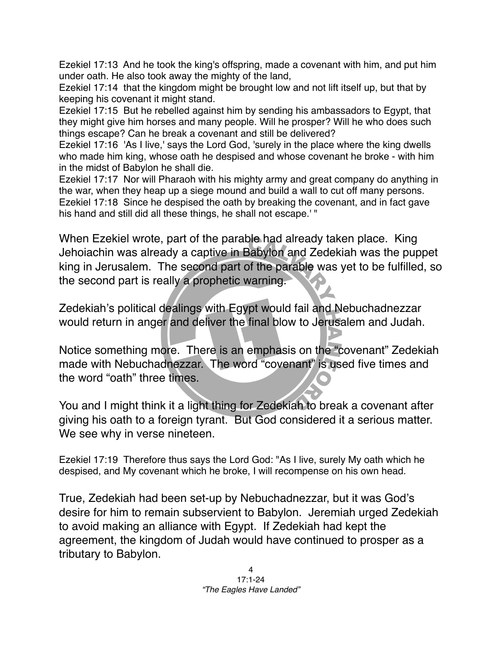Ezekiel 17:13 And he took the king's offspring, made a covenant with him, and put him under oath. He also took away the mighty of the land,

Ezekiel 17:14 that the kingdom might be brought low and not lift itself up, but that by keeping his covenant it might stand.

Ezekiel 17:15 But he rebelled against him by sending his ambassadors to Egypt, that they might give him horses and many people. Will he prosper? Will he who does such things escape? Can he break a covenant and still be delivered?

Ezekiel 17:16 'As I live,' says the Lord God, 'surely in the place where the king dwells who made him king, whose oath he despised and whose covenant he broke - with him in the midst of Babylon he shall die.

Ezekiel 17:17 Nor will Pharaoh with his mighty army and great company do anything in the war, when they heap up a siege mound and build a wall to cut off many persons. Ezekiel 17:18 Since he despised the oath by breaking the covenant, and in fact gave his hand and still did all these things, he shall not escape.' "

When Ezekiel wrote, part of the parable had already taken place. King Jehoiachin was already a captive in Babylon and Zedekiah was the puppet king in Jerusalem. The second part of the parable was yet to be fulfilled, so the second part is really a prophetic warning.

Zedekiah's political dealings with Egypt would fail and Nebuchadnezzar would return in anger and deliver the final blow to Jerusalem and Judah.

Notice something more. There is an emphasis on the "covenant" Zedekiah made with Nebuchadnezzar. The word "covenant" is used five times and the word "oath" three times.

You and I might think it a light thing for Zedekiah to break a covenant after giving his oath to a foreign tyrant. But God considered it a serious matter. We see why in verse nineteen.

Ezekiel 17:19 Therefore thus says the Lord God: "As I live, surely My oath which he despised, and My covenant which he broke, I will recompense on his own head.

True, Zedekiah had been set-up by Nebuchadnezzar, but it was God's desire for him to remain subservient to Babylon. Jeremiah urged Zedekiah to avoid making an alliance with Egypt. If Zedekiah had kept the agreement, the kingdom of Judah would have continued to prosper as a tributary to Babylon.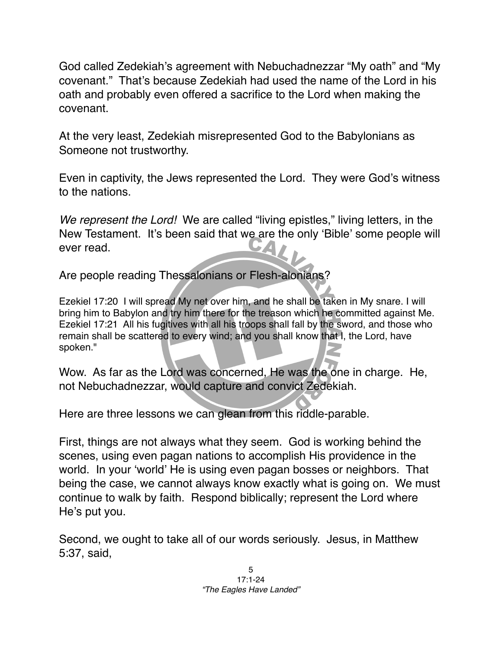God called Zedekiah's agreement with Nebuchadnezzar "My oath" and "My covenant." That's because Zedekiah had used the name of the Lord in his oath and probably even offered a sacrifice to the Lord when making the covenant.

At the very least, Zedekiah misrepresented God to the Babylonians as Someone not trustworthy.

Even in captivity, the Jews represented the Lord. They were God's witness to the nations.

*We represent the Lord!* We are called "living epistles," living letters, in the New Testament. It's been said that we are the only ʻBible' some people will ever read.

Are people reading Thessalonians or Flesh-alonians?

Ezekiel 17:20 I will spread My net over him, and he shall be taken in My snare. I will bring him to Babylon and try him there for the treason which he committed against Me. Ezekiel 17:21 All his fugitives with all his troops shall fall by the sword, and those who remain shall be scattered to every wind; and you shall know that I, the Lord, have spoken."

Wow. As far as the Lord was concerned, He was the one in charge. He, not Nebuchadnezzar, would capture and convict Zedekiah.

Here are three lessons we can glean from this riddle-parable.

First, things are not always what they seem. God is working behind the scenes, using even pagan nations to accomplish His providence in the world. In your ʻworld' He is using even pagan bosses or neighbors. That being the case, we cannot always know exactly what is going on. We must continue to walk by faith. Respond biblically; represent the Lord where He's put you.

Second, we ought to take all of our words seriously. Jesus, in Matthew 5:37, said,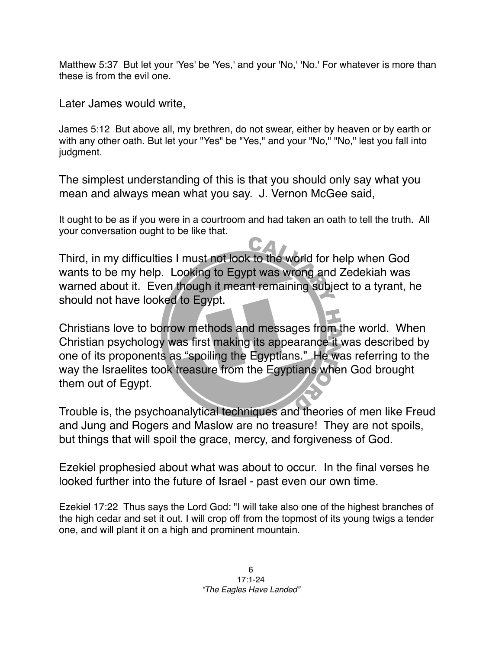Matthew 5:37 But let your 'Yes' be 'Yes,' and your 'No,' 'No.' For whatever is more than these is from the evil one.

Later James would write,

James 5:12 But above all, my brethren, do not swear, either by heaven or by earth or with any other oath. But let your "Yes" be "Yes," and your "No," "No," lest you fall into judgment.

The simplest understanding of this is that you should only say what you mean and always mean what you say. J. Vernon McGee said,

It ought to be as if you were in a courtroom and had taken an oath to tell the truth. All your conversation ought to be like that.

Third, in my difficulties I must not look to the world for help when God wants to be my help. Looking to Egypt was wrong and Zedekiah was warned about it. Even though it meant remaining subject to a tyrant, he should not have looked to Egypt.

Christians love to borrow methods and messages from the world. When Christian psychology was first making its appearance it was described by one of its proponents as "spoiling the Egyptians." He was referring to the way the Israelites took treasure from the Egyptians when God brought them out of Egypt.

Trouble is, the psychoanalytical techniques and theories of men like Freud and Jung and Rogers and Maslow are no treasure! They are not spoils, but things that will spoil the grace, mercy, and forgiveness of God.

Ezekiel prophesied about what was about to occur. In the final verses he looked further into the future of Israel - past even our own time.

Ezekiel 17:22 Thus says the Lord God: "I will take also one of the highest branches of the high cedar and set it out. I will crop off from the topmost of its young twigs a tender one, and will plant it on a high and prominent mountain.